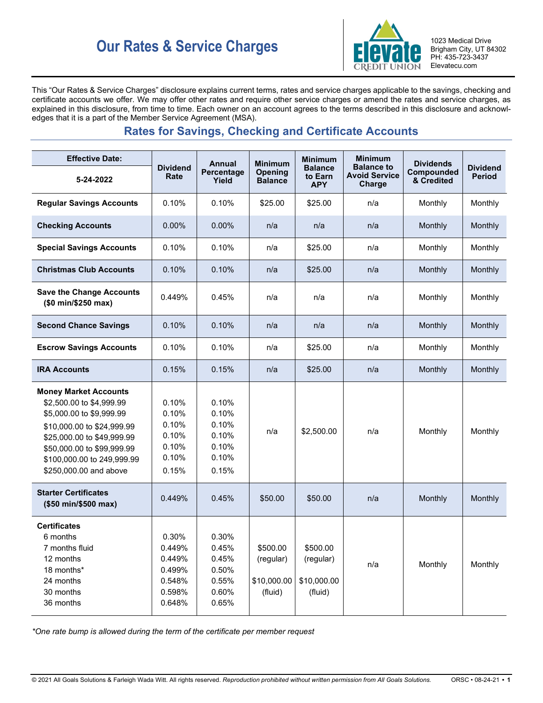# **Our Rates & Service Charges ELQVAIQ** 1023 Medical Drive



Brigham City, UT 84302 PH: 435-723-3437 Elevatecu.com

This "Our Rates & Service Charges" disclosure explains current terms, rates and service charges applicable to the savings, checking and certificate accounts we offer. We may offer other rates and require other service charges or amend the rates and service charges, as explained in this disclosure, from time to time. Each owner on an account agrees to the terms described in this disclosure and acknowledges that it is a part of the Member Service Agreement (MSA).

## **Rates for Savings, Checking and Certificate Accounts**

| <b>Effective Date:</b>                                                                                                                                                                                                                 |                                                                   | <b>Annual</b>                                               | <b>Minimum</b>                                  | Minimum                                         | <b>Minimum</b>                                      | <b>Dividends</b>         |                                  |
|----------------------------------------------------------------------------------------------------------------------------------------------------------------------------------------------------------------------------------------|-------------------------------------------------------------------|-------------------------------------------------------------|-------------------------------------------------|-------------------------------------------------|-----------------------------------------------------|--------------------------|----------------------------------|
| 5-24-2022                                                                                                                                                                                                                              | <b>Dividend</b><br>Rate                                           | Percentage<br>Yield                                         | Opening<br><b>Balance</b>                       | <b>Balance</b><br>to Earn<br><b>APY</b>         | <b>Balance to</b><br><b>Avoid Service</b><br>Charge | Compounded<br>& Credited | <b>Dividend</b><br><b>Period</b> |
| <b>Regular Savings Accounts</b>                                                                                                                                                                                                        | 0.10%                                                             | 0.10%                                                       | \$25.00                                         | \$25.00                                         | n/a                                                 | Monthly                  | Monthly                          |
| <b>Checking Accounts</b>                                                                                                                                                                                                               | $0.00\%$                                                          | 0.00%                                                       | n/a                                             | n/a                                             | n/a                                                 | Monthly                  | Monthly                          |
| <b>Special Savings Accounts</b>                                                                                                                                                                                                        | 0.10%                                                             | 0.10%                                                       | n/a                                             | \$25.00                                         | n/a                                                 | Monthly                  | Monthly                          |
| <b>Christmas Club Accounts</b>                                                                                                                                                                                                         | 0.10%                                                             | 0.10%                                                       | n/a                                             | \$25.00                                         | n/a                                                 | Monthly                  | Monthly                          |
| <b>Save the Change Accounts</b><br>(\$0 min/\$250 max)                                                                                                                                                                                 | 0.449%                                                            | 0.45%                                                       | n/a                                             | n/a                                             | n/a                                                 | Monthly                  | Monthly                          |
| <b>Second Chance Savings</b>                                                                                                                                                                                                           | 0.10%                                                             | 0.10%                                                       | n/a                                             | n/a                                             | n/a                                                 | Monthly                  | Monthly                          |
| <b>Escrow Savings Accounts</b>                                                                                                                                                                                                         | 0.10%                                                             | 0.10%                                                       | n/a                                             | \$25.00                                         | n/a                                                 | Monthly                  | Monthly                          |
| <b>IRA Accounts</b>                                                                                                                                                                                                                    | 0.15%                                                             | 0.15%                                                       | n/a                                             | \$25.00                                         | n/a                                                 | Monthly                  | Monthly                          |
| <b>Money Market Accounts</b><br>\$2,500.00 to \$4,999.99<br>\$5,000.00 to \$9,999.99<br>\$10,000.00 to \$24,999.99<br>\$25,000.00 to \$49,999.99<br>\$50,000.00 to \$99,999.99<br>\$100,000.00 to 249,999.99<br>\$250,000.00 and above | 0.10%<br>0.10%<br>0.10%<br>0.10%<br>0.10%<br>0.10%<br>0.15%       | 0.10%<br>0.10%<br>0.10%<br>0.10%<br>0.10%<br>0.10%<br>0.15% | n/a                                             | \$2,500.00                                      | n/a                                                 | Monthly                  | Monthly                          |
| <b>Starter Certificates</b><br>(\$50 min/\$500 max)                                                                                                                                                                                    | 0.449%                                                            | 0.45%                                                       | \$50.00                                         | \$50.00                                         | n/a                                                 | Monthly                  | Monthly                          |
| <b>Certificates</b><br>6 months<br>7 months fluid<br>12 months<br>18 months*<br>24 months<br>30 months<br>36 months                                                                                                                    | 0.30%<br>0.449%<br>0.449%<br>0.499%<br>0.548%<br>0.598%<br>0.648% | 0.30%<br>0.45%<br>0.45%<br>0.50%<br>0.55%<br>0.60%<br>0.65% | \$500.00<br>(regular)<br>\$10,000.00<br>(fluid) | \$500.00<br>(regular)<br>\$10,000.00<br>(fluid) | n/a                                                 | Monthly                  | Monthly                          |

*\*One rate bump is allowed during the term of the certificate per member request*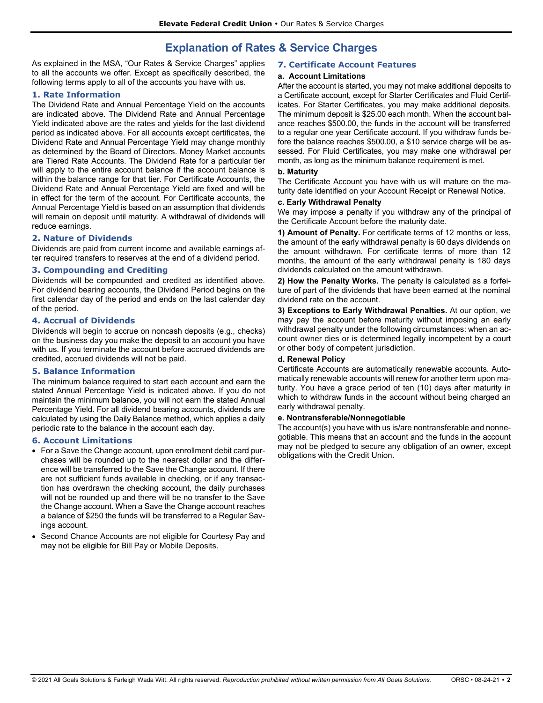### **Explanation of Rates & Service Charges**

As explained in the MSA, "Our Rates & Service Charges" applies to all the accounts we offer. Except as specifically described, the following terms apply to all of the accounts you have with us.

#### **1. Rate Information**

The Dividend Rate and Annual Percentage Yield on the accounts are indicated above. The Dividend Rate and Annual Percentage Yield indicated above are the rates and yields for the last dividend period as indicated above. For all accounts except certificates, the Dividend Rate and Annual Percentage Yield may change monthly as determined by the Board of Directors. Money Market accounts are Tiered Rate Accounts. The Dividend Rate for a particular tier will apply to the entire account balance if the account balance is within the balance range for that tier. For Certificate Accounts, the Dividend Rate and Annual Percentage Yield are fixed and will be in effect for the term of the account. For Certificate accounts, the Annual Percentage Yield is based on an assumption that dividends will remain on deposit until maturity. A withdrawal of dividends will reduce earnings.

#### **2. Nature of Dividends**

Dividends are paid from current income and available earnings after required transfers to reserves at the end of a dividend period.

#### **3. Compounding and Crediting**

Dividends will be compounded and credited as identified above. For dividend bearing accounts, the Dividend Period begins on the first calendar day of the period and ends on the last calendar day of the period.

#### **4. Accrual of Dividends**

Dividends will begin to accrue on noncash deposits (e.g., checks) on the business day you make the deposit to an account you have with us. If you terminate the account before accrued dividends are credited, accrued dividends will not be paid.

#### **5. Balance Information**

The minimum balance required to start each account and earn the stated Annual Percentage Yield is indicated above. If you do not maintain the minimum balance, you will not earn the stated Annual Percentage Yield. For all dividend bearing accounts, dividends are calculated by using the Daily Balance method, which applies a daily periodic rate to the balance in the account each day.

#### **6. Account Limitations**

- For a Save the Change account, upon enrollment debit card purchases will be rounded up to the nearest dollar and the difference will be transferred to the Save the Change account. If there are not sufficient funds available in checking, or if any transaction has overdrawn the checking account, the daily purchases will not be rounded up and there will be no transfer to the Save the Change account. When a Save the Change account reaches a balance of \$250 the funds will be transferred to a Regular Savings account.
- Second Chance Accounts are not eligible for Courtesy Pay and may not be eligible for Bill Pay or Mobile Deposits.

#### **7. Certificate Account Features**

#### **a. Account Limitations**

After the account is started, you may not make additional deposits to a Certificate account, except for Starter Certificates and Fluid Certificates. For Starter Certificates, you may make additional deposits. The minimum deposit is \$25.00 each month. When the account balance reaches \$500.00, the funds in the account will be transferred to a regular one year Certificate account. If you withdraw funds before the balance reaches \$500.00, a \$10 service charge will be assessed. For Fluid Certificates, you may make one withdrawal per month, as long as the minimum balance requirement is met.

#### **b. Maturity**

The Certificate Account you have with us will mature on the maturity date identified on your Account Receipt or Renewal Notice.

#### **c. Early Withdrawal Penalty**

We may impose a penalty if you withdraw any of the principal of the Certificate Account before the maturity date.

**1) Amount of Penalty.** For certificate terms of 12 months or less, the amount of the early withdrawal penalty is 60 days dividends on the amount withdrawn. For certificate terms of more than 12 months, the amount of the early withdrawal penalty is 180 days dividends calculated on the amount withdrawn.

**2) How the Penalty Works.** The penalty is calculated as a forfeiture of part of the dividends that have been earned at the nominal dividend rate on the account.

**3) Exceptions to Early Withdrawal Penalties.** At our option, we may pay the account before maturity without imposing an early withdrawal penalty under the following circumstances: when an account owner dies or is determined legally incompetent by a court or other body of competent jurisdiction.

#### **d. Renewal Policy**

Certificate Accounts are automatically renewable accounts. Automatically renewable accounts will renew for another term upon maturity. You have a grace period of ten (10) days after maturity in which to withdraw funds in the account without being charged an early withdrawal penalty.

#### **e. Nontransferable/Nonnegotiable**

The account(s) you have with us is/are nontransferable and nonnegotiable. This means that an account and the funds in the account may not be pledged to secure any obligation of an owner, except obligations with the Credit Union.